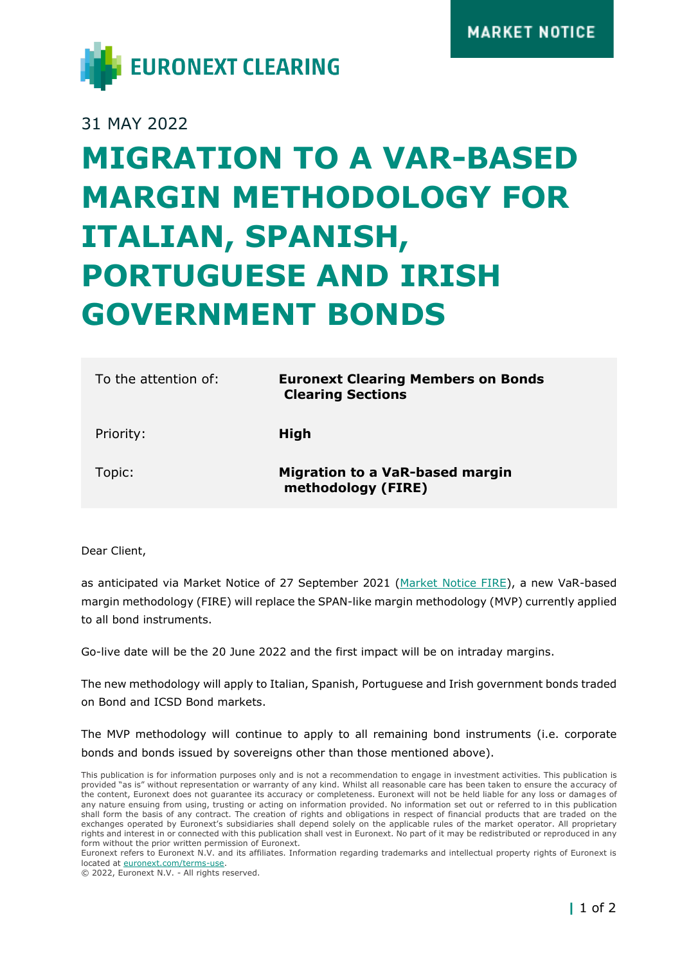

## 31 MAY 2022

## **MIGRATION TO A VAR-BASED MARGIN METHODOLOGY FOR ITALIAN, SPANISH, PORTUGUESE AND IRISH GOVERNMENT BONDS**

| To the attention of: | <b>Euronext Clearing Members on Bonds</b><br><b>Clearing Sections</b> |
|----------------------|-----------------------------------------------------------------------|
| Priority:            | High                                                                  |
| Topic:               | <b>Migration to a VaR-based margin</b><br>methodology (FIRE)          |

Dear Client,

as anticipated via Market Notice of 27 September 2021 [\(Market Notice FIRE\)](https://www.euronext.com/sites/default/files/notices/ccg/Market-notice_FIRE_ENG.pdf), a new VaR-based margin methodology (FIRE) will replace the SPAN-like margin methodology (MVP) currently applied to all bond instruments.

Go-live date will be the 20 June 2022 and the first impact will be on intraday margins.

The new methodology will apply to Italian, Spanish, Portuguese and Irish government bonds traded on Bond and ICSD Bond markets.

The MVP methodology will continue to apply to all remaining bond instruments (i.e. corporate bonds and bonds issued by sovereigns other than those mentioned above).

© 2022, Euronext N.V. - All rights reserved.

This publication is for information purposes only and is not a recommendation to engage in investment activities. This publication is provided "as is" without representation or warranty of any kind. Whilst all reasonable care has been taken to ensure the accuracy of the content, Euronext does not guarantee its accuracy or completeness. Euronext will not be held liable for any loss or damages of any nature ensuing from using, trusting or acting on information provided. No information set out or referred to in this publication shall form the basis of any contract. The creation of rights and obligations in respect of financial products that are traded on the exchanges operated by Euronext's subsidiaries shall depend solely on the applicable rules of the market operator. All proprietary rights and interest in or connected with this publication shall vest in Euronext. No part of it may be redistributed or reproduced in any form without the prior written permission of Euronext.

Euronext refers to Euronext N.V. and its affiliates. Information regarding trademarks and intellectual property rights of Euronext is located at [euronext.com/terms-use.](https://www.euronext.com/terms-use)